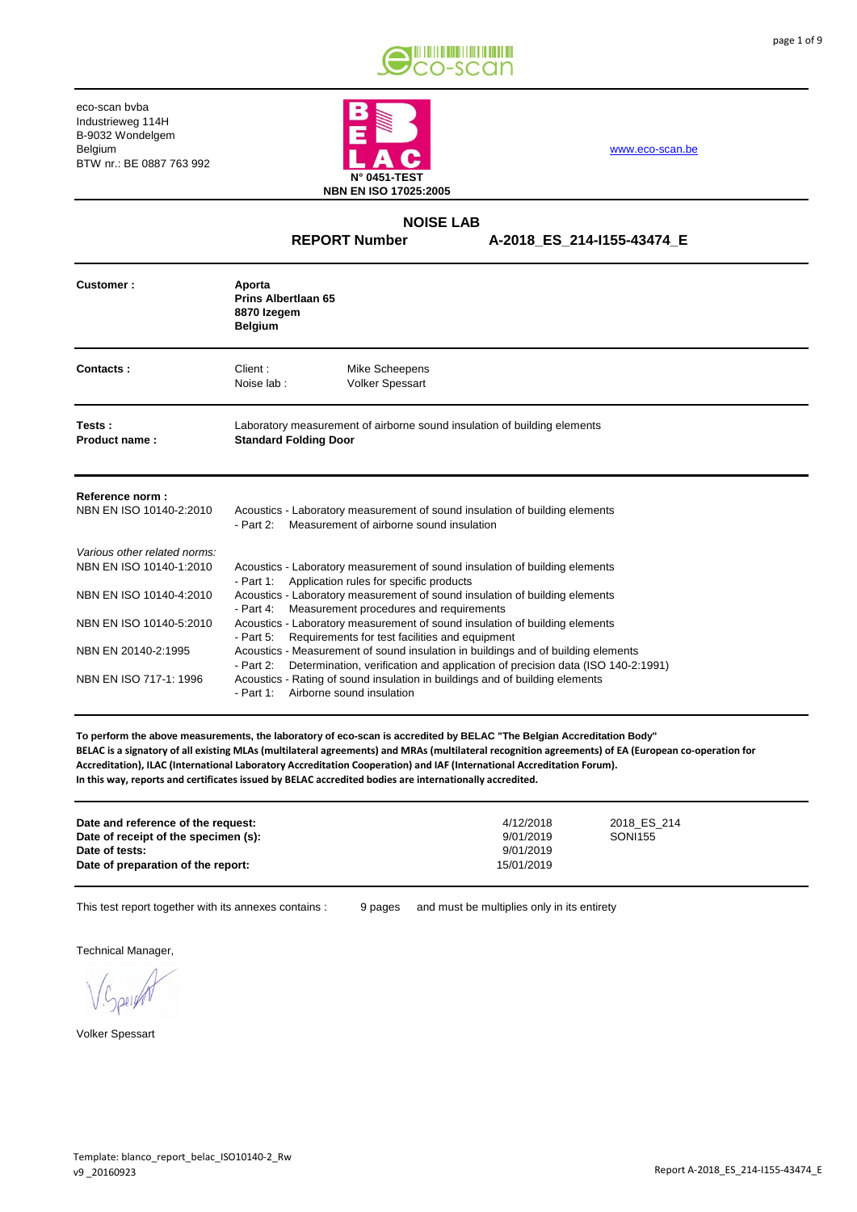



[www.eco-scan.be](http://www.eco-scan.be/)

#### **A-2018\_ES\_214-I155-43474\_E NOISE LAB REPORT Number**

| Customer:                                                                                                     | Aporta<br>Prins Albertlaan 65<br>8870 Izegem<br><b>Belgium</b>                                                                                                                                                                                                                                                                                                                                                             |  |  |
|---------------------------------------------------------------------------------------------------------------|----------------------------------------------------------------------------------------------------------------------------------------------------------------------------------------------------------------------------------------------------------------------------------------------------------------------------------------------------------------------------------------------------------------------------|--|--|
| Contacts:                                                                                                     | Client:<br>Mike Scheepens<br>Noise lab:<br><b>Volker Spessart</b>                                                                                                                                                                                                                                                                                                                                                          |  |  |
| Tests:<br>Product name:                                                                                       | Laboratory measurement of airborne sound insulation of building elements<br><b>Standard Folding Door</b>                                                                                                                                                                                                                                                                                                                   |  |  |
| Reference norm:<br>NBN EN ISO 10140-2:2010                                                                    | Acoustics - Laboratory measurement of sound insulation of building elements<br>Measurement of airborne sound insulation<br>- Part 2:                                                                                                                                                                                                                                                                                       |  |  |
| Various other related norms:<br>NBN EN ISO 10140-1:2010<br>NBN EN ISO 10140-4:2010<br>NBN EN ISO 10140-5:2010 | Acoustics - Laboratory measurement of sound insulation of building elements<br>Application rules for specific products<br>- Part 1:<br>Acoustics - Laboratory measurement of sound insulation of building elements<br>Measurement procedures and requirements<br>- Part 4:<br>Acoustics - Laboratory measurement of sound insulation of building elements<br>Requirements for test facilities and equipment<br>- Part $5:$ |  |  |
| NBN EN 20140-2:1995<br>NBN EN ISO 717-1: 1996                                                                 | Acoustics - Measurement of sound insulation in buildings and of building elements<br>Determination, verification and application of precision data (ISO 140-2:1991)<br>- Part 2:<br>Acoustics - Rating of sound insulation in buildings and of building elements<br>- Part 1: Airborne sound insulation                                                                                                                    |  |  |

**To perform the above measurements, the laboratory of eco-scan is accredited by BELAC "The Belgian Accreditation Body" BELAC is a signatory of all existing MLAs (multilateral agreements) and MRAs (multilateral recognition agreements) of EA (European co-operation for Accreditation), ILAC (International Laboratory Accreditation Cooperation) and IAF (International Accreditation Forum). In this way, reports and certificates issued by BELAC accredited bodies are internationally accredited.**

This test report together with its annexes contains : <br>9 pages and must be multiplies only in its entirety

9 pages

Technical Manager,

Volker Spessart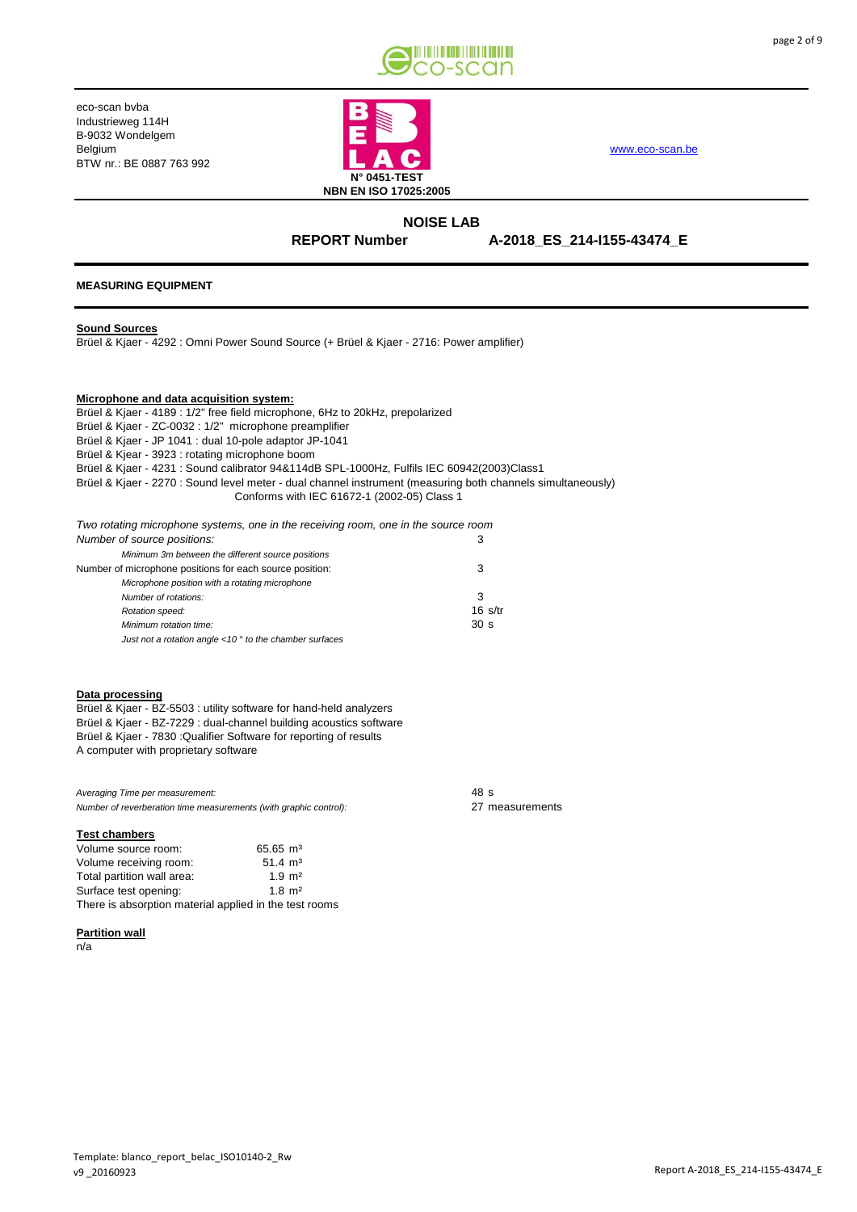



[www.eco-scan.be](http://www.eco-scan.be/)

## **NOISE LAB REPORT Number**

**A-2018\_ES\_214-I155-43474\_E**

### **MEASURING EQUIPMENT**

#### **Sound Sources**

Brüel & Kjaer - 4292 : Omni Power Sound Source (+ Brüel & Kjaer - 2716: Power amplifier)

#### **Microphone and data acquisition system:**

Brüel & Kjaer - 4189 : 1/2" free field microphone, 6Hz to 20kHz, prepolarized Brüel & Kjaer - ZC-0032 : 1/2" microphone preamplifier Brüel & Kjaer - JP 1041 : dual 10-pole adaptor JP-1041 Brüel & Kjear - 3923 : rotating microphone boom Brüel & Kjaer - 4231 : Sound calibrator 94&114dB SPL-1000Hz, Fulfils IEC 60942(2003)Class1 Brüel & Kjaer - 2270 : Sound level meter - dual channel instrument (measuring both channels simultaneously) Conforms with IEC 61672-1 (2002-05) Class 1

| Two rotating microphone systems, one in the receiving room, one in the source room |                                |
|------------------------------------------------------------------------------------|--------------------------------|
| Number of source positions:                                                        |                                |
| Minimum 3m between the different source positions                                  |                                |
| Number of microphone positions for each source position:                           | 3                              |
| Microphone position with a rotating microphone                                     |                                |
| Number of rotations:                                                               | 3                              |
| Rotation speed:                                                                    | $16 \frac{\text{s}}{\text{t}}$ |
| Minimum rotation time:                                                             | 30 <sub>s</sub>                |

#### **Data processing**

Brüel & Kjaer - BZ-5503 : utility software for hand-held analyzers Brüel & Kjaer - BZ-7229 : dual-channel building acoustics software Brüel & Kjaer - 7830 :Qualifier Software for reporting of results A computer with proprietary software

*Just not a rotation angle <10 ° to the chamber surfaces*

| Averaging Time per measurement:                                   | 48 s            |
|-------------------------------------------------------------------|-----------------|
| Number of reverberation time measurements (with graphic control): | 27 measurements |

#### **Test chambers**

| Volume source room:                                    | $65.65 \text{ m}^3$ |
|--------------------------------------------------------|---------------------|
| Volume receiving room:                                 | $51.4 \text{ m}^3$  |
| Total partition wall area:                             | $1.9 \text{ m}^2$   |
| Surface test opening:                                  | $1.8 \text{ m}^2$   |
| There is absorption material applied in the test rooms |                     |

#### **Partition wall**

n/a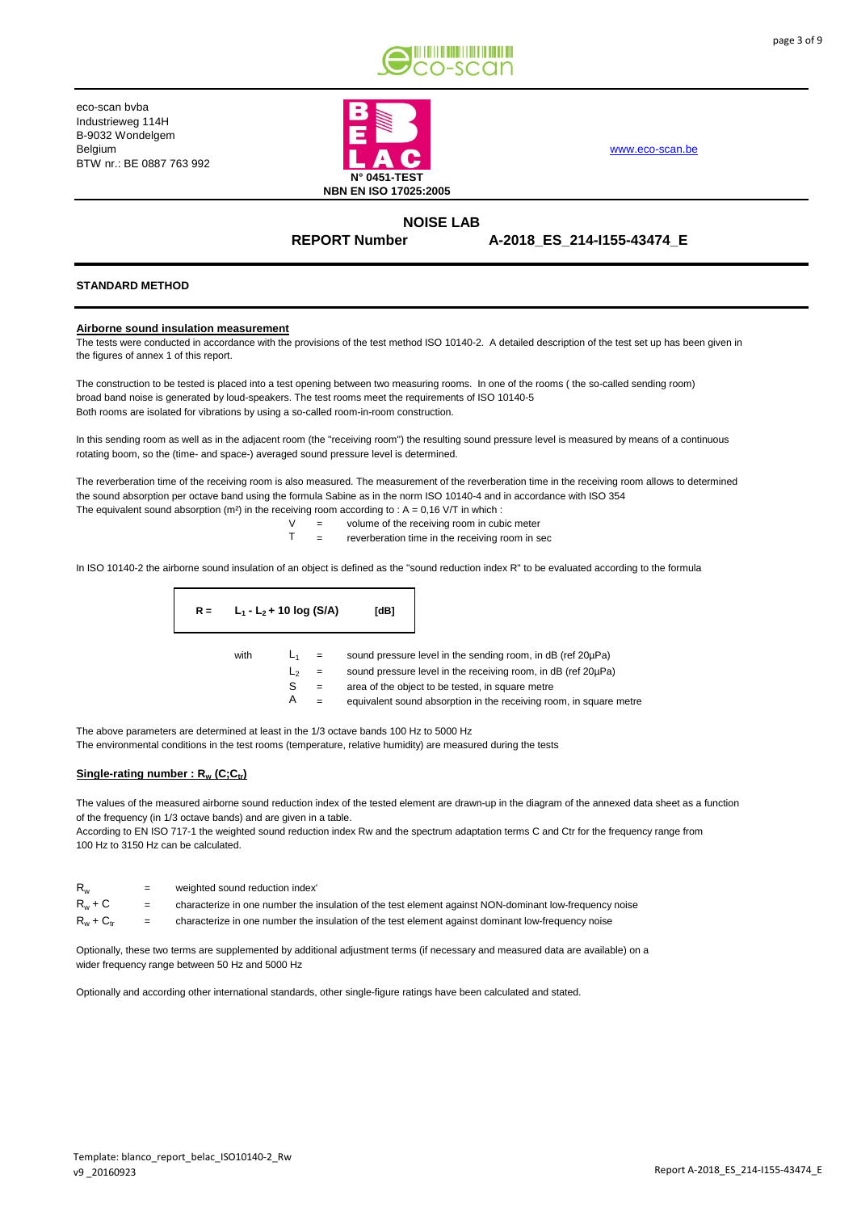



**NOISE LAB REPORT Number** 

## **A-2018\_ES\_214-I155-43474\_E**

#### **STANDARD METHOD**

#### **Airborne sound insulation measurement**

The tests were conducted in accordance with the provisions of the test method ISO 10140-2. A detailed description of the test set up has been given in the figures of annex 1 of this report.

The construction to be tested is placed into a test opening between two measuring rooms. In one of the rooms ( the so-called sending room) broad band noise is generated by loud-speakers. The test rooms meet the requirements of ISO 10140-5 Both rooms are isolated for vibrations by using a so-called room-in-room construction.

In this sending room as well as in the adjacent room (the "receiving room") the resulting sound pressure level is measured by means of a continuous rotating boom, so the (time- and space-) averaged sound pressure level is determined.

The reverberation time of the receiving room is also measured. The measurement of the reverberation time in the receiving room allows to determined the sound absorption per octave band using the formula Sabine as in the norm ISO 10140-4 and in accordance with ISO 354 The equivalent sound absorption (m<sup>2</sup>) in the receiving room according to :  $A = 0.16$  V/T in which :

$$
V = \text{volume of the receiving room in cubic meter}
$$

 $T =$  reverberation time in the receiving room in sec

In ISO 10140-2 the airborne sound insulation of an object is defined as the "sound reduction index R" to be evaluated according to the formula

| $R =$ | $L_1 - L_2 + 10$ log (S/A) | [dB]             |
|-------|----------------------------|------------------|
|       | حاء: ۱۰۰                   | aaund neagauna L |

with  $L_1$  = sound pressure level in the sending room, in dB (ref 20 $\mu$ Pa)

 $L<sub>2</sub>$  = sound pressure level in the receiving room, in dB (ref 20 $\mu$ Pa)

S = area of the object to be tested, in square metre

 $A =$  equivalent sound absorption in the receiving room, in square metre

The above parameters are determined at least in the 1/3 octave bands 100 Hz to 5000 Hz

The environmental conditions in the test rooms (temperature, relative humidity) are measured during the tests

#### **Single-rating number : Rw (C;Ctr)**

The values of the measured airborne sound reduction index of the tested element are drawn-up in the diagram of the annexed data sheet as a function of the frequency (in 1/3 octave bands) and are given in a table.

According to EN ISO 717-1 the weighted sound reduction index Rw and the spectrum adaptation terms C and Ctr for the frequency range from 100 Hz to 3150 Hz can be calculated.

| $R_{w}$        | $=$ | weighted sound reduction index'                                                                        |
|----------------|-----|--------------------------------------------------------------------------------------------------------|
| $R_w + C$      | $=$ | characterize in one number the insulation of the test element against NON-dominant low-frequency noise |
| $R_w + C_{tr}$ | $=$ | characterize in one number the insulation of the test element against dominant low-frequency noise     |

Optionally, these two terms are supplemented by additional adjustment terms (if necessary and measured data are available) on a wider frequency range between 50 Hz and 5000 Hz

Optionally and according other international standards, other single-figure ratings have been calculated and stated.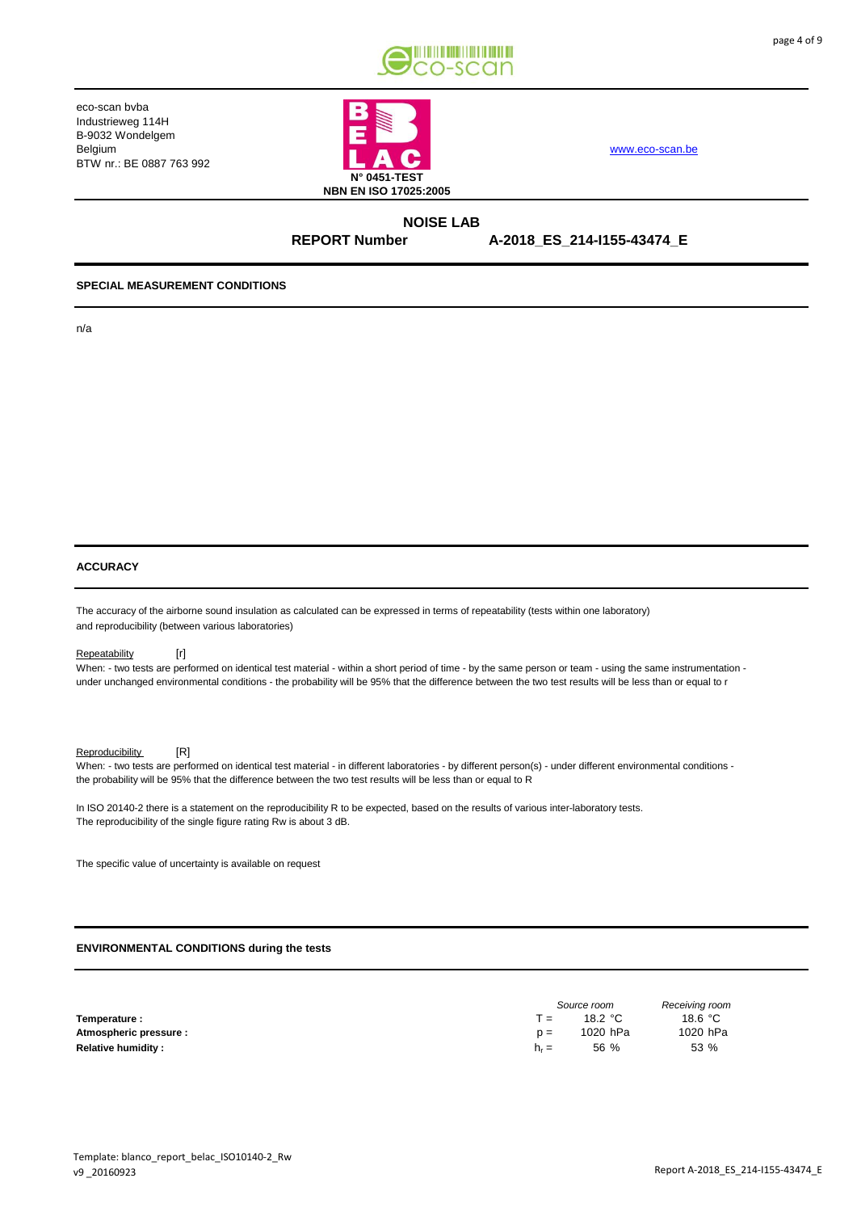



[www.eco-scan.be](http://www.eco-scan.be/)

**NOISE LAB**

**A-2018\_ES\_214-I155-43474\_E REPORT Number** 

#### **SPECIAL MEASUREMENT CONDITIONS**

n/a

# **ACCURACY**

The accuracy of the airborne sound insulation as calculated can be expressed in terms of repeatability (tests within one laboratory) and reproducibility (between various laboratories)

#### Repeatability [r]

When: - two tests are performed on identical test material - within a short period of time - by the same person or team - using the same instrumentation under unchanged environmental conditions - the probability will be 95% that the difference between the two test results will be less than or equal to r

Reproducibility [R]

When: - two tests are performed on identical test material - in different laboratories - by different person(s) - under different environmental conditions the probability will be 95% that the difference between the two test results will be less than or equal to R

In ISO 20140-2 there is a statement on the reproducibility R to be expected, based on the results of various inter-laboratory tests. The reproducibility of the single figure rating Rw is about 3 dB.

The specific value of uncertainty is available on request

#### **ENVIRONMENTAL CONDITIONS during the tests**

|                           | Source room |          | Receiving room |  |
|---------------------------|-------------|----------|----------------|--|
| Temperature :             | т =         | 18.2 °C  | 18.6 °C        |  |
| Atmospheric pressure :    | $D =$       | 1020 hPa | 1020 hPa       |  |
| <b>Relative humidity:</b> | $h_r =$     | 56 %     | 53 %           |  |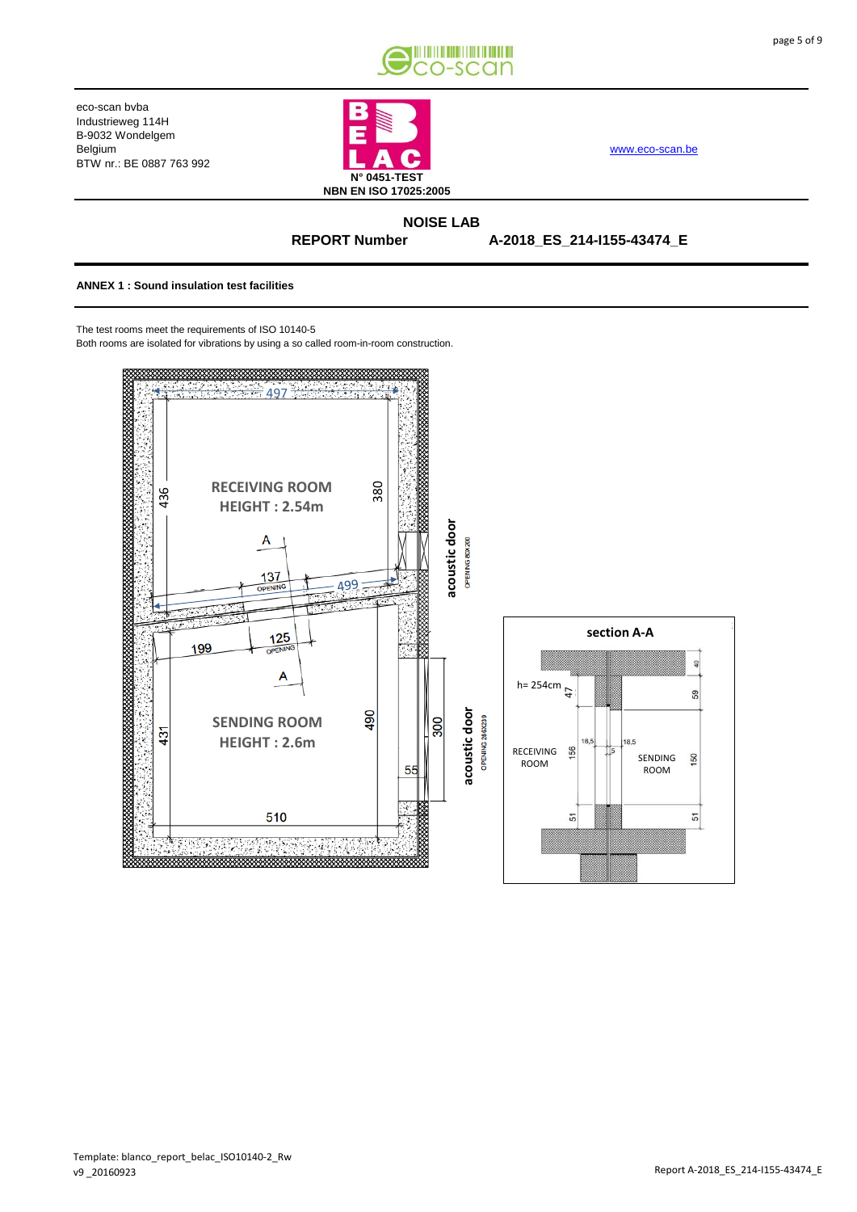



[www.eco-scan.be](http://www.eco-scan.be/)

## **NOISE LAB REPORT Number**

**A-2018\_ES\_214-I155-43474\_E**

#### **ANNEX 1 : Sound insulation test facilities**

The test rooms meet the requirements of ISO 10140-5

Both rooms are isolated for vibrations by using a so called room-in-room construction.

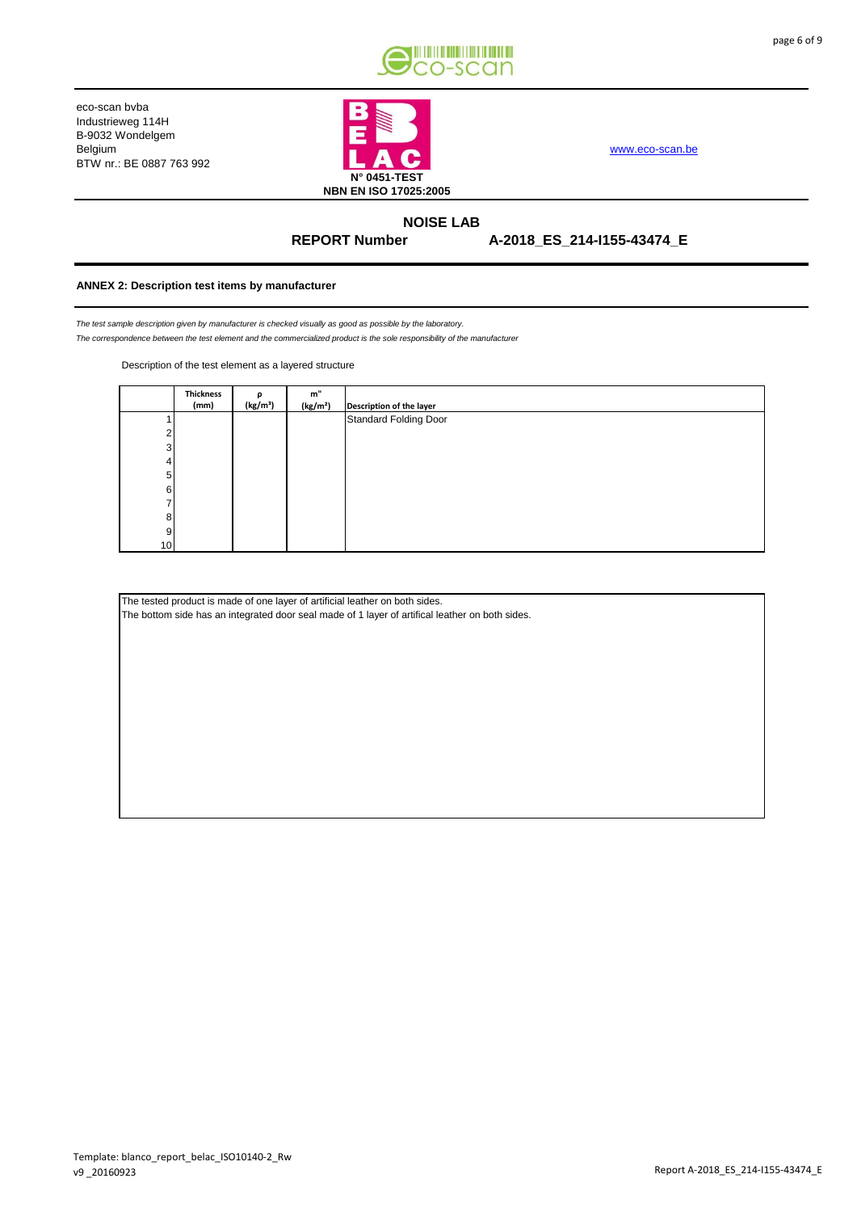



[www.eco-scan.be](http://www.eco-scan.be/)

**NOISE LAB REPORT Number** 

**A-2018\_ES\_214-I155-43474\_E**

#### **ANNEX 2: Description test items by manufacturer**

*The test sample description given by manufacturer is checked visually as good as possible by the laboratory. The correspondence between the test element and the commercialized product is the sole responsibility of the manufacturer*

Description of the test element as a layered structure

|                 | <b>Thickness</b> |                      | m"                   |                          |
|-----------------|------------------|----------------------|----------------------|--------------------------|
|                 | (mm)             | (kg/m <sup>3</sup> ) | (kg/m <sup>2</sup> ) | Description of the layer |
|                 |                  |                      |                      | Standard Folding Door    |
|                 |                  |                      |                      |                          |
| 3               |                  |                      |                      |                          |
|                 |                  |                      |                      |                          |
| 5               |                  |                      |                      |                          |
| 6               |                  |                      |                      |                          |
|                 |                  |                      |                      |                          |
| 8               |                  |                      |                      |                          |
| 9               |                  |                      |                      |                          |
| 10 <sup>1</sup> |                  |                      |                      |                          |

The tested product is made of one layer of artificial leather on both sides.

The bottom side has an integrated door seal made of 1 layer of artifical leather on both sides.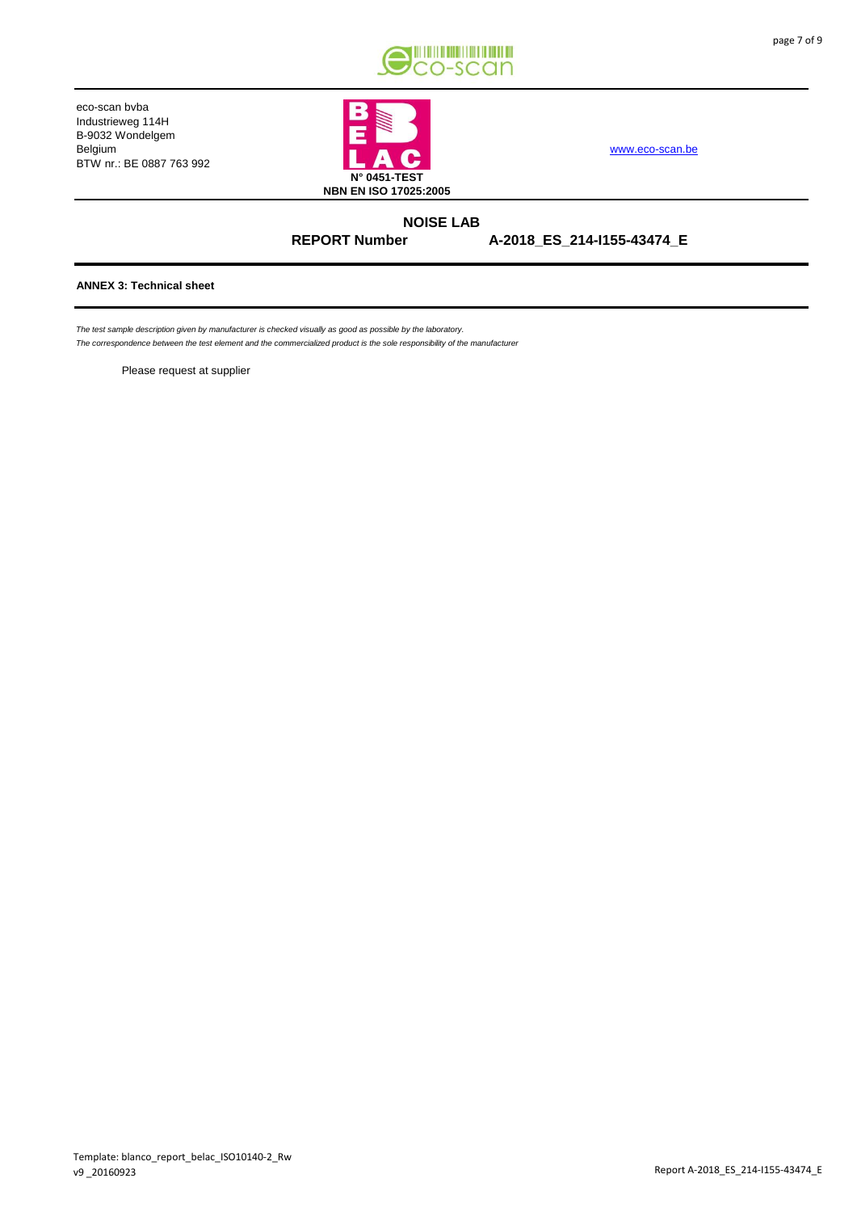



[www.eco-scan.be](http://www.eco-scan.be/)

**NOISE LAB REPORT Number** 

**A-2018\_ES\_214-I155-43474\_E**

### **ANNEX 3: Technical sheet**

*The test sample description given by manufacturer is checked visually as good as possible by the laboratory.*

*The correspondence between the test element and the commercialized product is the sole responsibility of the manufacturer*

Please request at supplier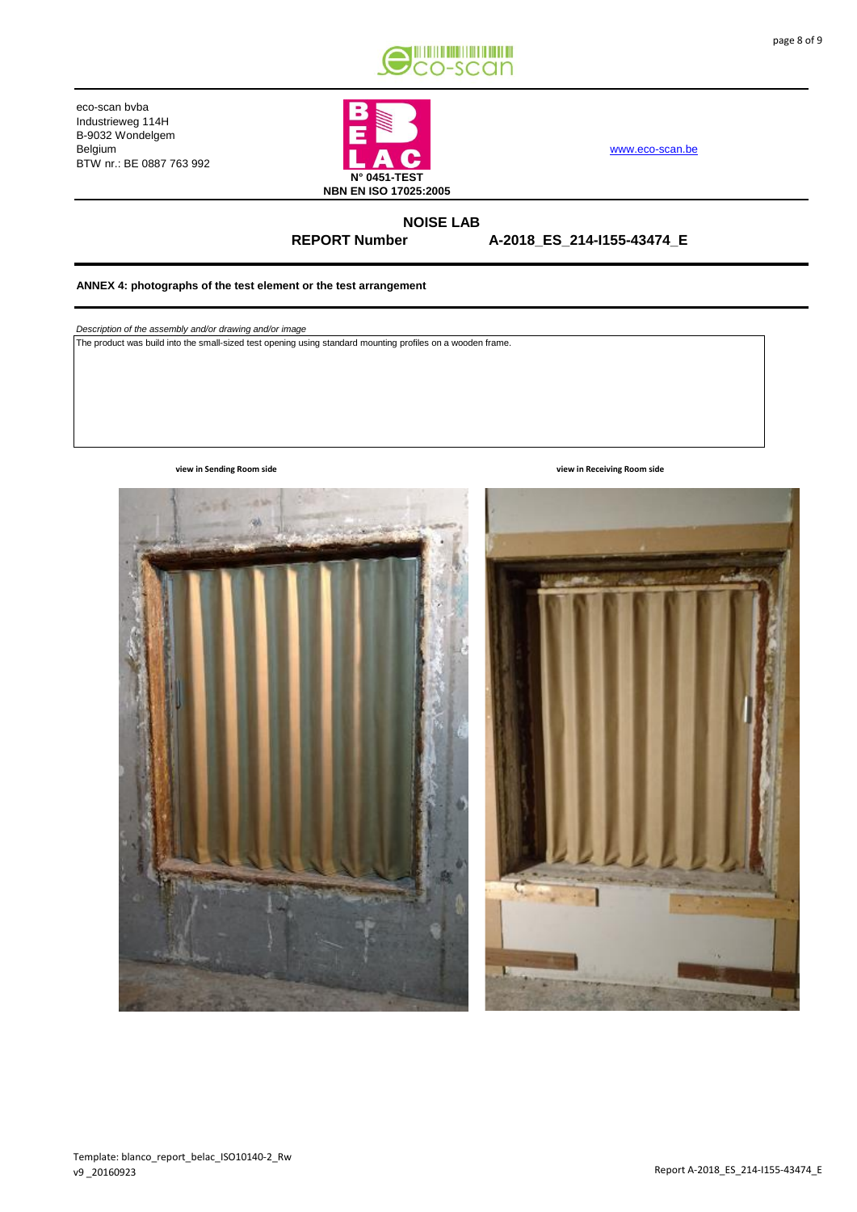



[www.eco-scan.be](http://www.eco-scan.be/)

**NOISE LAB REPORT Number** 

**A-2018\_ES\_214-I155-43474\_E**

#### **ANNEX 4: photographs of the test element or the test arrangement**

*Description of the assembly and/or drawing and/or image*

The product was build into the small-sized test opening using standard mounting profiles on a wooden frame.



**view in Sending Room side view in Receiving Room side**

page 8 of 9